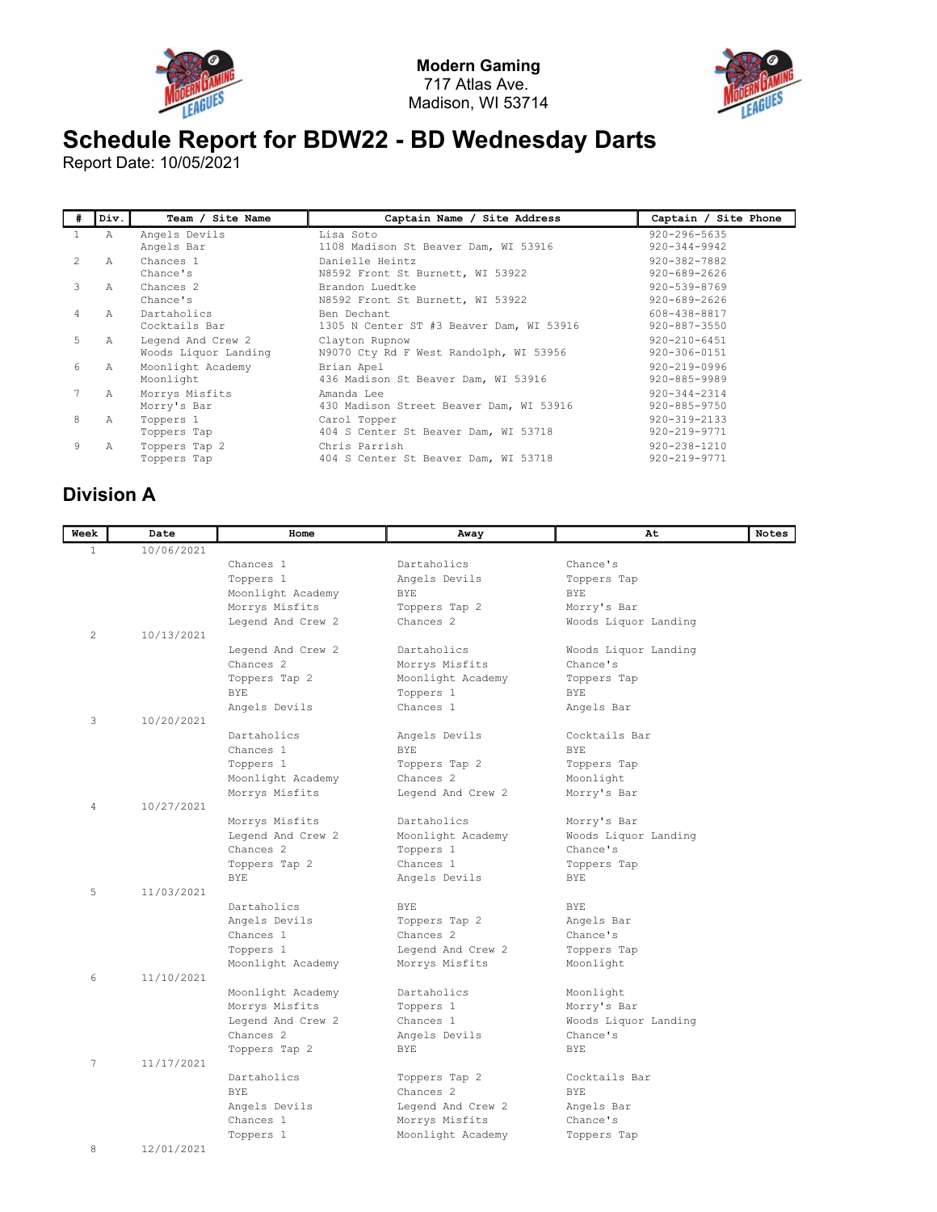



## Schedule Report for BDW22 - BD Wednesday Darts

Report Date: 10/05/2021

| #              | Div.          | Team / Site Name                          | Captain Name / Site Address                              | Captain / Site Phone                     |
|----------------|---------------|-------------------------------------------|----------------------------------------------------------|------------------------------------------|
|                | A             | Angels Devils<br>Angels Bar               | Lisa Soto<br>1108 Madison St Beaver Dam, WI 53916        | $920 - 296 - 5635$<br>$920 - 344 - 9942$ |
| $\mathfrak{D}$ | A             | Chances 1<br>Chance's                     | Danielle Heintz<br>N8592 Front St Burnett, WI 53922      | 920-382-7882<br>$920 - 689 - 2626$       |
| 3              | $\mathcal{A}$ | Chances <sub>2</sub><br>Chance's          | Brandon Luedtke<br>N8592 Front St Burnett, WI 53922      | $920 - 539 - 8769$<br>$920 - 689 - 2626$ |
| 4              | $\mathcal{A}$ | Dartaholics<br>Cocktails Bar              | Ben Dechant<br>1305 N Center ST #3 Beaver Dam, WI 53916  | 608-438-8817<br>920-887-3550             |
| 5              | Α             | Legend And Crew 2<br>Woods Liquor Landing | Clayton Rupnow<br>N9070 Cty Rd F West Randolph, WI 53956 | $920 - 210 - 6451$<br>920-306-0151       |
| 6              | Α             | Moonlight Academy<br>Moonlight            | Brian Apel<br>436 Madison St Beaver Dam, WI 53916        | $920 - 219 - 0996$<br>920-885-9989       |
|                | Α             | Morrys Misfits<br>Morry's Bar             | Amanda Lee<br>430 Madison Street Beaver Dam, WI 53916    | $920 - 344 - 2314$<br>920-885-9750       |
| 8              | Α             | Toppers 1<br>Toppers Tap                  | Carol Topper<br>404 S Center St Beaver Dam, WI 53718     | $920 - 319 - 2133$<br>920-219-9771       |
| 9              | Α             | Toppers Tap 2<br>Toppers Tap              | Chris Parrish<br>404 S Center St Beaver Dam, WI 53718    | 920-238-1210<br>920-219-9771             |

## Division A

| Week           | Date       | Home                                | Away                 | At                       | Notes |
|----------------|------------|-------------------------------------|----------------------|--------------------------|-------|
| $\mathbf{1}$   | 10/06/2021 |                                     |                      |                          |       |
|                |            | Chances 1                           | Dartaholics          | Chance's                 |       |
|                |            | Toppers 1                           | Angels Devils        | Toppers Tap              |       |
|                |            | Moonlight Academy                   | <b>BYE</b>           | <b>BYE</b>               |       |
|                |            | Morrys Misfits                      | Toppers Tap 2        | Morry's Bar              |       |
|                |            | Legend And Crew 2                   | Chances <sub>2</sub> | Woods Liquor Landing     |       |
| 2              | 10/13/2021 |                                     |                      |                          |       |
|                |            | Legend And Crew 2                   | Dartaholics          | Woods Liquor Landing     |       |
|                |            | Chances <sub>2</sub>                | Morrys Misfits       | Chance's                 |       |
|                |            | Toppers Tap 2                       | Moonlight Academy    | Toppers Tap              |       |
|                |            | <b>BYE</b>                          | Toppers 1            | <b>BYE</b>               |       |
|                |            | Angels Devils                       | Chances 1            | Angels Bar               |       |
| 3              | 10/20/2021 |                                     |                      |                          |       |
|                |            | Dartaholics                         | Angels Devils        | Cocktails Bar            |       |
|                |            | Chances 1                           | <b>BYE</b>           | BYE.                     |       |
|                |            | Toppers 1                           | Toppers Tap 2        | Toppers Tap              |       |
|                |            | Moonlight Academy                   | Chances <sub>2</sub> | Moonlight                |       |
|                |            | Morrys Misfits                      | Legend And Crew 2    | Morry's Bar              |       |
| $\overline{4}$ | 10/27/2021 |                                     |                      |                          |       |
|                |            | Morrys Misfits                      | Dartaholics          | Morry's Bar              |       |
|                |            | Legend And Crew 2                   | Moonlight Academy    | Woods Liquor Landing     |       |
|                |            | Chances <sub>2</sub>                | Toppers 1            | Chance's                 |       |
|                |            | Toppers Tap 2                       | Chances 1            | Toppers Tap              |       |
|                |            | <b>BYE</b>                          | Angels Devils        | <b>BYE</b>               |       |
| 5              | 11/03/2021 |                                     |                      |                          |       |
|                |            | Dartaholics                         | <b>BYE</b>           | BYE.                     |       |
|                |            | Angels Devils                       | Toppers Tap 2        | Angels Bar               |       |
|                |            | Chances 1                           | Chances <sub>2</sub> | Chance's                 |       |
|                |            | Toppers 1                           | Legend And Crew 2    | Toppers Tap              |       |
| 6              | 11/10/2021 | Moonlight Academy                   | Morrys Misfits       | Moonlight                |       |
|                |            |                                     | Dartaholics          |                          |       |
|                |            | Moonlight Academy<br>Morrys Misfits | Toppers 1            | Moonlight<br>Morry's Bar |       |
|                |            | Legend And Crew 2                   | Chances 1            | Woods Liquor Landing     |       |
|                |            | Chances <sub>2</sub>                | Angels Devils        | Chance's                 |       |
|                |            | Toppers Tap 2                       | <b>BYE</b>           | <b>BYE</b>               |       |
| 7              | 11/17/2021 |                                     |                      |                          |       |
|                |            | Dartaholics                         | Toppers Tap 2        | Cocktails Bar            |       |
|                |            | BYE.                                | Chances <sub>2</sub> | BYE.                     |       |
|                |            | Angels Devils                       | Legend And Crew 2    | Angels Bar               |       |
|                |            | Chances 1                           | Morrys Misfits       | Chance's                 |       |
|                |            | Toppers 1                           | Moonlight Academy    | Toppers Tap              |       |
| 8              | 12/01/2021 |                                     |                      |                          |       |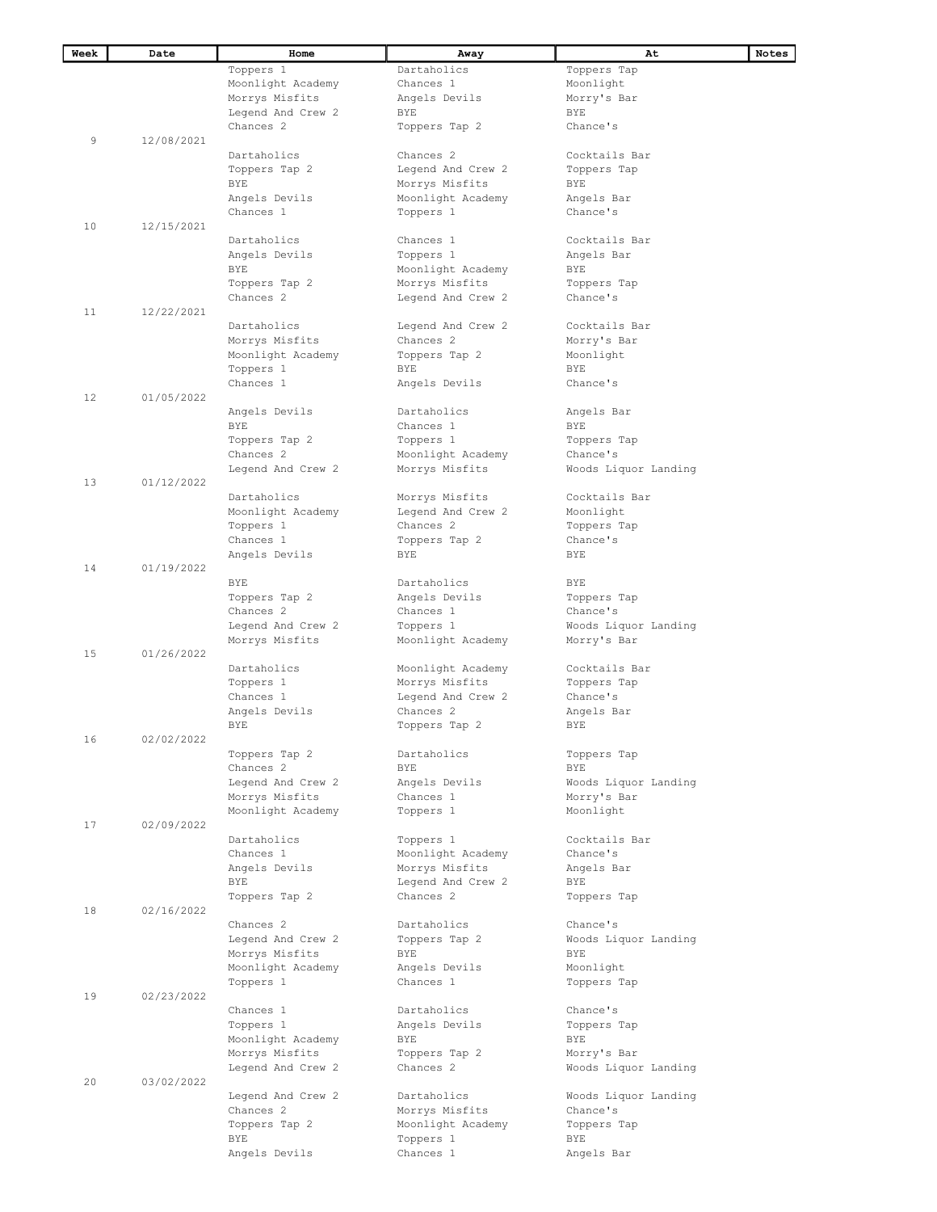| Week              | Date       | Home                                  | Away                 | At                        | Notes |
|-------------------|------------|---------------------------------------|----------------------|---------------------------|-------|
|                   |            | Toppers 1                             | Dartaholics          | Toppers Tap               |       |
|                   |            | Moonlight Academy                     | Chances 1            | Moonlight                 |       |
|                   |            | Morrys Misfits                        | Angels Devils        | Morry's Bar               |       |
|                   |            | Legend And Crew 2                     | BYE                  | <b>BYE</b>                |       |
|                   |            | Chances <sub>2</sub>                  | Toppers Tap 2        | Chance's                  |       |
| 9                 | 12/08/2021 |                                       |                      |                           |       |
|                   |            | Dartaholics                           | Chances 2            | Cocktails Bar             |       |
|                   |            | Toppers Tap 2                         | Leqend And Crew 2    | Toppers Tap               |       |
|                   |            | <b>BYE</b>                            | Morrys Misfits       | BYE                       |       |
|                   |            | Angels Devils                         | Moonlight Academy    | Angels Bar                |       |
|                   |            | Chances 1                             | Toppers 1            | Chance's                  |       |
| 10                | 12/15/2021 |                                       |                      |                           |       |
|                   |            | Dartaholics                           | Chances 1            | Cocktails Bar             |       |
|                   |            | Angels Devils                         | Toppers 1            | Angels Bar                |       |
|                   |            | <b>BYE</b>                            | Moonlight Academy    | BYE                       |       |
|                   |            | Toppers Tap 2                         | Morrys Misfits       | Toppers Tap               |       |
|                   |            | Chances <sub>2</sub>                  | Legend And Crew 2    | Chance's                  |       |
| 11                | 12/22/2021 |                                       |                      |                           |       |
|                   |            | Dartaholics                           | Legend And Crew 2    | Cocktails Bar             |       |
|                   |            | Morrys Misfits                        | Chances <sub>2</sub> | Morry's Bar               |       |
|                   |            | Moonlight Academy                     | Toppers Tap 2        | Moonlight                 |       |
|                   |            | Toppers 1                             | BYE                  | BYE                       |       |
|                   |            | Chances 1                             | Angels Devils        | Chance's                  |       |
| $12 \overline{ }$ | 01/05/2022 |                                       |                      |                           |       |
|                   |            | Angels Devils                         | Dartaholics          | Angels Bar                |       |
|                   |            | BYE                                   | Chances 1            | BYE                       |       |
|                   |            | Toppers Tap 2                         | Toppers 1            | Toppers Tap               |       |
|                   |            | Chances <sub>2</sub>                  | Moonlight Academy    | Chance's                  |       |
|                   |            | Legend And Crew 2                     | Morrys Misfits       | Woods Liquor Landing      |       |
| 13                | 01/12/2022 |                                       |                      |                           |       |
|                   |            | Dartaholics                           | Morrys Misfits       | Cocktails Bar             |       |
|                   |            | Moonlight Academy                     | Legend And Crew 2    | Moonlight                 |       |
|                   |            | Toppers 1                             | Chances <sub>2</sub> | Toppers Tap               |       |
|                   |            | Chances 1                             | Toppers Tap 2        | Chance's                  |       |
|                   |            | Angels Devils                         | BYE                  | BYE                       |       |
| 14                | 01/19/2022 |                                       |                      |                           |       |
|                   |            | <b>BYE</b>                            | Dartaholics          | <b>BYE</b>                |       |
|                   |            | Toppers Tap 2                         | Angels Devils        | Toppers Tap               |       |
|                   |            | Chances <sub>2</sub>                  | Chances 1            | Chance's                  |       |
|                   |            | Legend And Crew 2                     | Toppers 1            | Woods Liquor Landing      |       |
|                   |            | Morrys Misfits                        | Moonlight Academy    | Morry's Bar               |       |
| 15                | 01/26/2022 |                                       |                      |                           |       |
|                   |            | Dartaholics                           | Moonlight Academy    | Cocktails Bar             |       |
|                   |            | Toppers 1                             | Morrys Misfits       | Toppers Tap               |       |
|                   |            | Chances 1                             | Legend And Crew 2    | Chance's                  |       |
|                   |            | Angels Devils                         | Chances <sub>2</sub> | Angels Bar                |       |
|                   |            | <b>BYE</b>                            | Toppers Tap 2        | <b>BYE</b>                |       |
| 16                | 02/02/2022 |                                       |                      |                           |       |
|                   |            | Toppers Tap 2<br>Chances <sub>2</sub> | Dartaholics<br>BYE   | Toppers Tap<br><b>BYE</b> |       |
|                   |            | Legend And Crew 2                     | Angels Devils        | Woods Liquor Landing      |       |
|                   |            | Morrys Misfits                        | Chances 1            | Morry's Bar               |       |
|                   |            | Moonlight Academy                     | Toppers 1            | Moonlight                 |       |
| 17                | 02/09/2022 |                                       |                      |                           |       |
|                   |            | Dartaholics                           | Toppers 1            | Cocktails Bar             |       |
|                   |            | Chances 1                             | Moonlight Academy    | Chance's                  |       |
|                   |            | Angels Devils                         | Morrys Misfits       | Angels Bar                |       |
|                   |            | BYE                                   | Legend And Crew 2    | BYE                       |       |
|                   |            | Toppers Tap 2                         | Chances <sub>2</sub> | Toppers Tap               |       |
| 18                | 02/16/2022 |                                       |                      |                           |       |
|                   |            | Chances <sub>2</sub>                  | Dartaholics          | Chance's                  |       |
|                   |            | Legend And Crew 2                     | Toppers Tap 2        | Woods Liquor Landing      |       |
|                   |            | Morrys Misfits                        | BYE                  | BYE                       |       |
|                   |            | Moonlight Academy                     | Angels Devils        | Moonlight                 |       |
|                   |            | Toppers 1                             | Chances 1            | Toppers Tap               |       |
| 19                | 02/23/2022 |                                       |                      |                           |       |
|                   |            | Chances 1                             | Dartaholics          | Chance's                  |       |
|                   |            | Toppers 1                             | Angels Devils        | Toppers Tap               |       |
|                   |            | Moonlight Academy                     | BYE                  | BYE                       |       |
|                   |            | Morrys Misfits                        | Toppers Tap 2        | Morry's Bar               |       |
|                   |            | Legend And Crew 2                     | Chances 2            | Woods Liquor Landing      |       |
| 20                | 03/02/2022 |                                       |                      |                           |       |
|                   |            | Legend And Crew 2                     | Dartaholics          | Woods Liquor Landing      |       |
|                   |            | Chances <sub>2</sub>                  | Morrys Misfits       | Chance's                  |       |
|                   |            | Toppers Tap 2                         | Moonlight Academy    | Toppers Tap               |       |
|                   |            | <b>BYE</b>                            | Toppers 1            | BYE                       |       |
|                   |            | Angels Devils                         | Chances 1            | Angels Bar                |       |